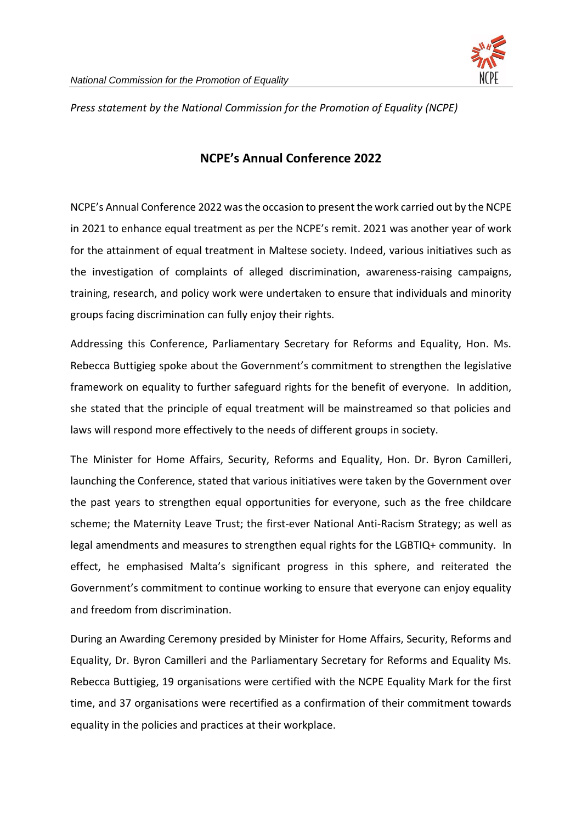

*Press statement by the National Commission for the Promotion of Equality (NCPE)*

## **NCPE's Annual Conference 2022**

NCPE's Annual Conference 2022 was the occasion to present the work carried out by the NCPE in 2021 to enhance equal treatment as per the NCPE's remit. 2021 was another year of work for the attainment of equal treatment in Maltese society. Indeed, various initiatives such as the investigation of complaints of alleged discrimination, awareness-raising campaigns, training, research, and policy work were undertaken to ensure that individuals and minority groups facing discrimination can fully enjoy their rights.

Addressing this Conference, Parliamentary Secretary for Reforms and Equality, Hon. Ms. Rebecca Buttigieg spoke about the Government's commitment to strengthen the legislative framework on equality to further safeguard rights for the benefit of everyone. In addition, she stated that the principle of equal treatment will be mainstreamed so that policies and laws will respond more effectively to the needs of different groups in society.

The Minister for Home Affairs, Security, Reforms and Equality, Hon. Dr. Byron Camilleri, launching the Conference, stated that various initiatives were taken by the Government over the past years to strengthen equal opportunities for everyone, such as the free childcare scheme; the Maternity Leave Trust; the first-ever National Anti-Racism Strategy; as well as legal amendments and measures to strengthen equal rights for the LGBTIQ+ community. In effect, he emphasised Malta's significant progress in this sphere, and reiterated the Government's commitment to continue working to ensure that everyone can enjoy equality and freedom from discrimination.

During an Awarding Ceremony presided by Minister for Home Affairs, Security, Reforms and Equality, Dr. Byron Camilleri and the Parliamentary Secretary for Reforms and Equality Ms. Rebecca Buttigieg, 19 organisations were certified with the NCPE Equality Mark for the first time, and 37 organisations were recertified as a confirmation of their commitment towards equality in the policies and practices at their workplace.